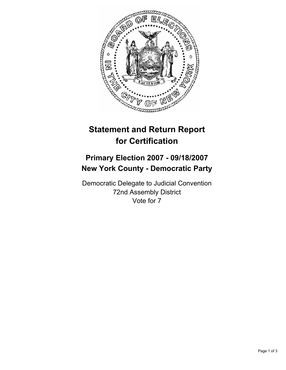

## **Statement and Return Report for Certification**

## **Primary Election 2007 - 09/18/2007 New York County - Democratic Party**

Democratic Delegate to Judicial Convention 72nd Assembly District Vote for 7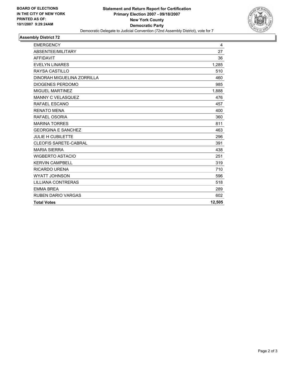

## **Assembly District 72**

| <b>EMERGENCY</b>             | 4      |
|------------------------------|--------|
| ABSENTEE/MILITARY            | 27     |
| <b>AFFIDAVIT</b>             | 36     |
| <b>EVELYN LINARES</b>        | 1,285  |
| RAYSA CASTILLO               | 510    |
| DINORAH MIGUELINA ZORRILLA   | 460    |
| DIOGENES PERDOMO             | 985    |
| MIGUEL MARTINEZ              | 1,888  |
| <b>MANNY C VELASQUEZ</b>     | 476    |
| RAFAEL ESCANO                | 457    |
| <b>RENATO MENA</b>           | 400    |
| RAFAEL OSORIA                | 360    |
| <b>MARINA TORRES</b>         | 811    |
| <b>GEORGINA E SANCHEZ</b>    | 463    |
| <b>JULIE H CUBILETTE</b>     | 296    |
| <b>CLEOFIS SARETE-CABRAL</b> | 391    |
| <b>MARIA SIERRA</b>          | 438    |
| <b>WIGBERTO ASTACIO</b>      | 251    |
| KERVIN CAMPBELL              | 319    |
| RICARDO URENA                | 710    |
| <b>WYATT JOHNSON</b>         | 596    |
| LILLIANA CONTRERAS           | 518    |
| <b>EMMA BREA</b>             | 289    |
| <b>RUBEN DARIO VARGAS</b>    | 602    |
| <b>Total Votes</b>           | 12,505 |